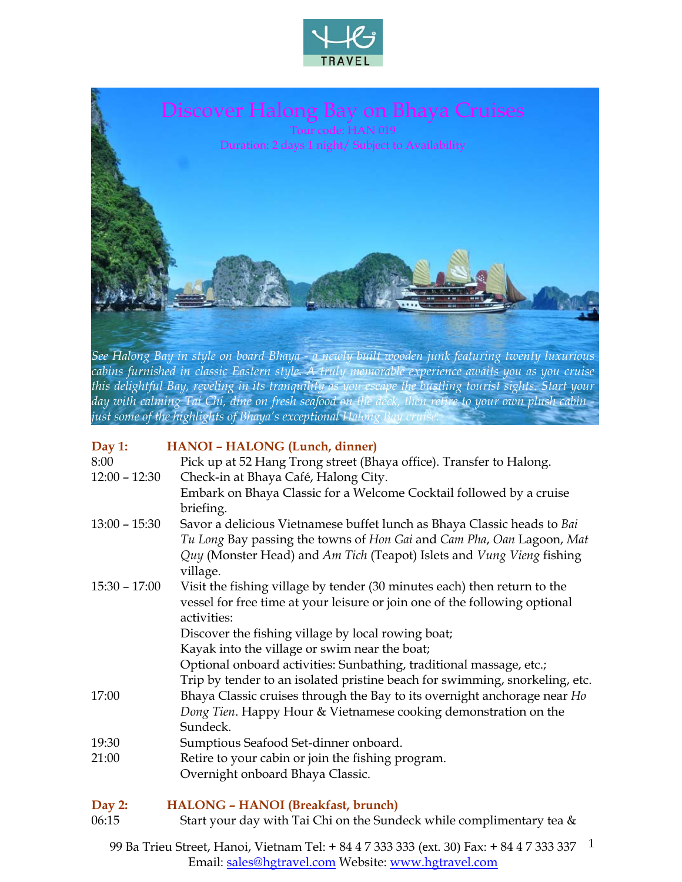



*cabins furnished in classic Eastern style. A truly memorable experience awaits you as you cruise this delightful Bay, reveling in its tranquility as you escape the bustling tourist sights. Start your day with calming Tai Chi, dine on fresh seafood on the deck, then retire to your own plush cabin just some of the highlights of Bhaya's exceptional Halong Bay cruise.* 

### **Day 1: HANOI – HALONG (Lunch, dinner)**

| 8:00            | Pick up at 52 Hang Trong street (Bhaya office). Transfer to Halong.         |  |  |  |  |  |
|-----------------|-----------------------------------------------------------------------------|--|--|--|--|--|
| $12:00 - 12:30$ | Check-in at Bhaya Café, Halong City.                                        |  |  |  |  |  |
|                 | Embark on Bhaya Classic for a Welcome Cocktail followed by a cruise         |  |  |  |  |  |
|                 | briefing.                                                                   |  |  |  |  |  |
| $13:00 - 15:30$ | Savor a delicious Vietnamese buffet lunch as Bhaya Classic heads to Bai     |  |  |  |  |  |
|                 | Tu Long Bay passing the towns of Hon Gai and Cam Pha, Oan Lagoon, Mat       |  |  |  |  |  |
|                 | Quy (Monster Head) and Am Tich (Teapot) Islets and Vung Vieng fishing       |  |  |  |  |  |
|                 | village.                                                                    |  |  |  |  |  |
| $15:30 - 17:00$ | Visit the fishing village by tender (30 minutes each) then return to the    |  |  |  |  |  |
|                 | vessel for free time at your leisure or join one of the following optional  |  |  |  |  |  |
|                 | activities:                                                                 |  |  |  |  |  |
|                 | Discover the fishing village by local rowing boat;                          |  |  |  |  |  |
|                 | Kayak into the village or swim near the boat;                               |  |  |  |  |  |
|                 | Optional onboard activities: Sunbathing, traditional massage, etc.;         |  |  |  |  |  |
|                 | Trip by tender to an isolated pristine beach for swimming, snorkeling, etc. |  |  |  |  |  |
| 17:00           | Bhaya Classic cruises through the Bay to its overnight anchorage near Ho    |  |  |  |  |  |
|                 | Dong Tien. Happy Hour & Vietnamese cooking demonstration on the             |  |  |  |  |  |
|                 | Sundeck.                                                                    |  |  |  |  |  |
| 19:30           | Sumptious Seafood Set-dinner onboard.                                       |  |  |  |  |  |
| 21:00           | Retire to your cabin or join the fishing program.                           |  |  |  |  |  |
|                 | Overnight onboard Bhaya Classic.                                            |  |  |  |  |  |
|                 | HALONG - HANOI (Breakfast, brunch)                                          |  |  |  |  |  |

#### **Day 2: HALONG – HANOI (Breakfast, brunch)**  06:15 Start your day with Tai Chi on the Sundeck while complimentary tea &

99 Ba Trieu Street, Hanoi, Vietnam Tel: + 84 4 7 333 333 (ext. 30) Fax: + 84 4 7 333 337 1 Email: sales@hgtravel.com Website: www.hgtravel.com